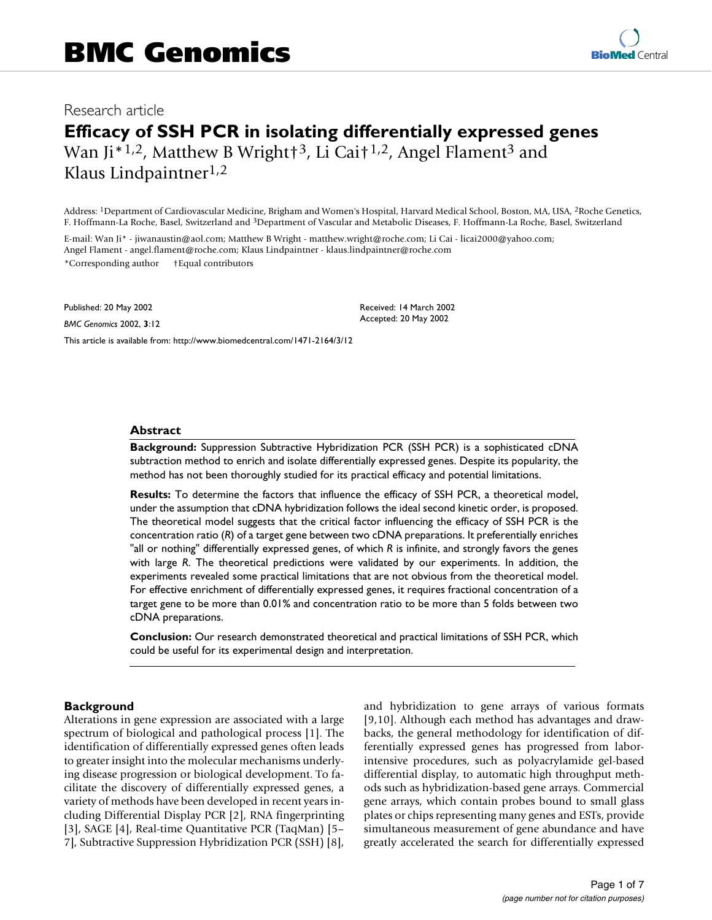Received: 14 March 2002 Accepted: 20 May 2002

Wan Ji<sup>\*1,2</sup>, Matthew B Wright<sup>+3</sup>, Li Cai<sup>+1,2</sup>, Angel Flament<sup>3</sup> and Klaus Lindpaintner<sup>1,2</sup>

Address: 1Department of Cardiovascular Medicine, Brigham and Women's Hospital, Harvard Medical School, Boston, MA, USA, 2Roche Genetics, F. Hoffmann-La Roche, Basel, Switzerland and 3Department of Vascular and Metabolic Diseases, F. Hoffmann-La Roche, Basel, Switzerland

E-mail: Wan Ji\* - jiwanaustin@aol.com; Matthew B Wright - matthew.wright@roche.com; Li Cai - licai2000@yahoo.com; Angel Flament - angel.flament@roche.com; Klaus Lindpaintner - klaus.lindpaintner@roche.com \*Corresponding author †Equal contributors

Published: 20 May 2002

*BMC Genomics* 2002, **3**:12

[This article is available from: http://www.biomedcentral.com/1471-2164/3/12](http://www.biomedcentral.com/1471-2164/3/12)

**Abstract**

**Background:** Suppression Subtractive Hybridization PCR (SSH PCR) is a sophisticated cDNA subtraction method to enrich and isolate differentially expressed genes. Despite its popularity, the method has not been thoroughly studied for its practical efficacy and potential limitations.

**Results:** To determine the factors that influence the efficacy of SSH PCR, a theoretical model, under the assumption that cDNA hybridization follows the ideal second kinetic order, is proposed. The theoretical model suggests that the critical factor influencing the efficacy of SSH PCR is the concentration ratio (*R*) of a target gene between two cDNA preparations. It preferentially enriches "all or nothing" differentially expressed genes, of which *R* is infinite, and strongly favors the genes with large *R*. The theoretical predictions were validated by our experiments. In addition, the experiments revealed some practical limitations that are not obvious from the theoretical model. For effective enrichment of differentially expressed genes, it requires fractional concentration of a target gene to be more than 0.01% and concentration ratio to be more than 5 folds between two cDNA preparations.

**Conclusion:** Our research demonstrated theoretical and practical limitations of SSH PCR, which could be useful for its experimental design and interpretation.

### **Background**

Alterations in gene expression are associated with a large spectrum of biological and pathological process [1]. The identification of differentially expressed genes often leads to greater insight into the molecular mechanisms underlying disease progression or biological development. To facilitate the discovery of differentially expressed genes, a variety of methods have been developed in recent years including Differential Display PCR [2], RNA fingerprinting [3], SAGE [4], Real-time Quantitative PCR (TaqMan) [5– 7], Subtractive Suppression Hybridization PCR (SSH) [8],

and hybridization to gene arrays of various formats [9,10]. Although each method has advantages and drawbacks, the general methodology for identification of differentially expressed genes has progressed from laborintensive procedures, such as polyacrylamide gel-based differential display, to automatic high throughput methods such as hybridization-based gene arrays. Commercial gene arrays, which contain probes bound to small glass plates or chips representing many genes and ESTs, provide simultaneous measurement of gene abundance and have greatly accelerated the search for differentially expressed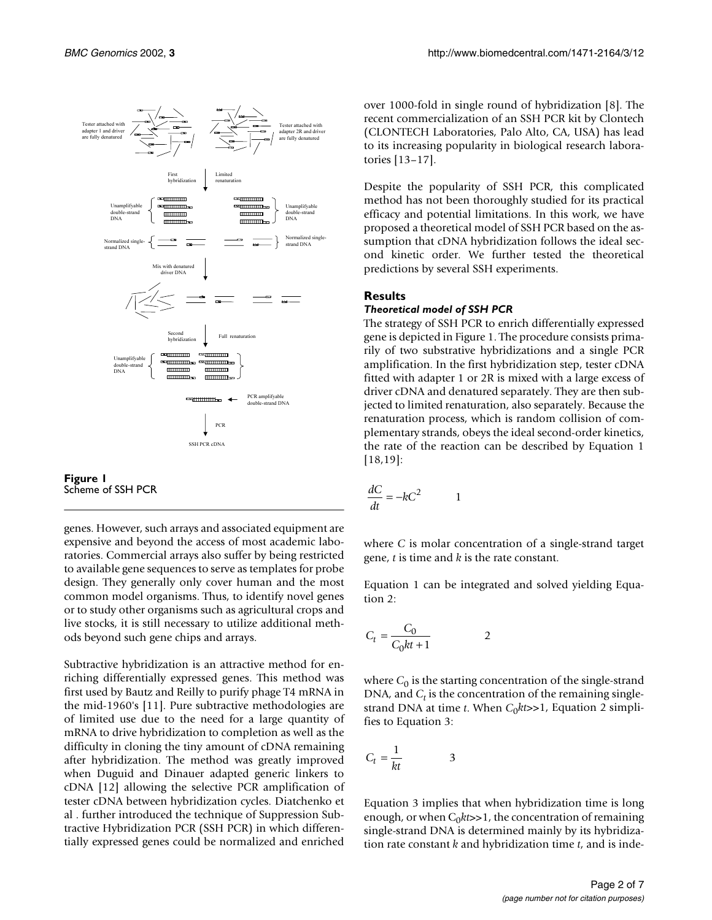



genes. However, such arrays and associated equipment are expensive and beyond the access of most academic laboratories. Commercial arrays also suffer by being restricted to available gene sequences to serve as templates for probe design. They generally only cover human and the most common model organisms. Thus, to identify novel genes or to study other organisms such as agricultural crops and live stocks, it is still necessary to utilize additional methods beyond such gene chips and arrays.

Subtractive hybridization is an attractive method for enriching differentially expressed genes. This method was first used by Bautz and Reilly to purify phage T4 mRNA in the mid-1960's [11]. Pure subtractive methodologies are of limited use due to the need for a large quantity of mRNA to drive hybridization to completion as well as the difficulty in cloning the tiny amount of cDNA remaining after hybridization. The method was greatly improved when Duguid and Dinauer adapted generic linkers to cDNA [12] allowing the selective PCR amplification of tester cDNA between hybridization cycles. Diatchenko et al . further introduced the technique of Suppression Subtractive Hybridization PCR (SSH PCR) in which differentially expressed genes could be normalized and enriched

over 1000-fold in single round of hybridization [8]. The recent commercialization of an SSH PCR kit by Clontech (CLONTECH Laboratories, Palo Alto, CA, USA) has lead to its increasing popularity in biological research laboratories [13–17].

Despite the popularity of SSH PCR, this complicated method has not been thoroughly studied for its practical efficacy and potential limitations. In this work, we have proposed a theoretical model of SSH PCR based on the assumption that cDNA hybridization follows the ideal second kinetic order. We further tested the theoretical predictions by several SSH experiments.

## **Results**

#### *Theoretical model of SSH PCR*

The strategy of SSH PCR to enrich differentially expressed gene is depicted in Figure 1. The procedure consists primarily of two substrative hybridizations and a single PCR amplification. In the first hybridization step, tester cDNA fitted with adapter 1 or 2R is mixed with a large excess of driver cDNA and denatured separately. They are then subjected to limited renaturation, also separately. Because the renaturation process, which is random collision of complementary strands, obeys the ideal second-order kinetics, the rate of the reaction can be described by Equation 1 [18,19]:

$$
\frac{dC}{dt} = -kC^2 \qquad \qquad 1
$$

where *C* is molar concentration of a single-strand target gene, *t* is time and *k* is the rate constant.

Equation 1 can be integrated and solved yielding Equation 2:

$$
C_t = \frac{C_0}{C_0 kt + 1}
$$
 2

where  $C_0$  is the starting concentration of the single-strand DNA, and  $C_t$  is the concentration of the remaining singlestrand DNA at time *t*. When *C*<sup>0</sup>*kt*>>1, Equation 2 simplifies to Equation 3:

$$
C_t = \frac{1}{kt} \qquad \qquad 3
$$

Equation 3 implies that when hybridization time is long enough, or when  $C_0$ *kt* $>> 1$ , the concentration of remaining single-strand DNA is determined mainly by its hybridization rate constant *k* and hybridization time *t*, and is inde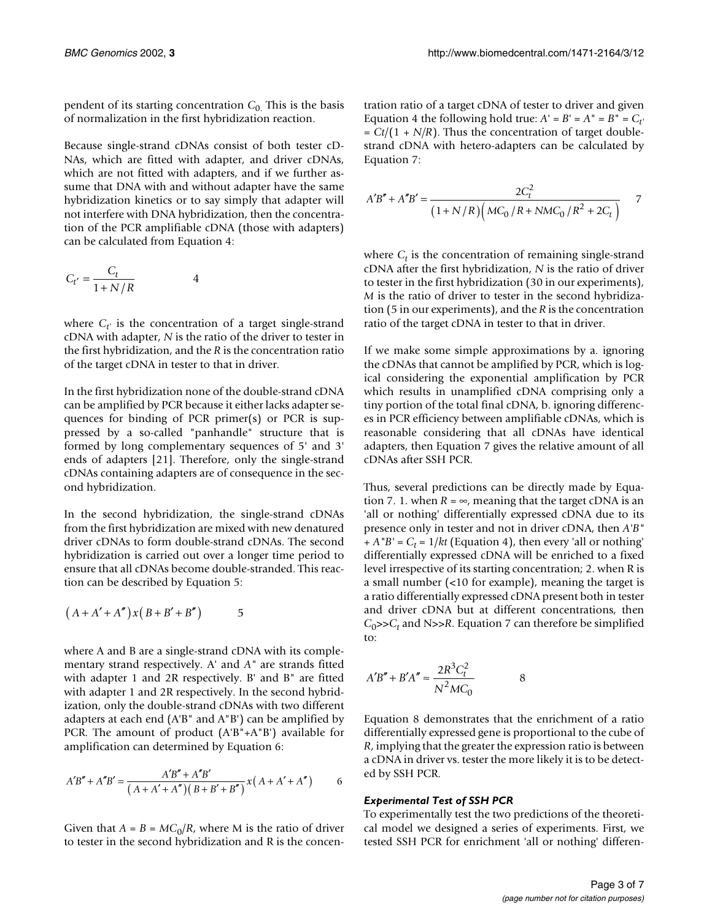pendent of its starting concentration  $C_0$ . This is the basis of normalization in the first hybridization reaction.

Because single-strand cDNAs consist of both tester cD-NAs, which are fitted with adapter, and driver cDNAs, which are not fitted with adapters, and if we further assume that DNA with and without adapter have the same hybridization kinetics or to say simply that adapter will not interfere with DNA hybridization, then the concentration of the PCR amplifiable cDNA (those with adapters) can be calculated from Equation 4:

$$
C_{t'} = \frac{C_t}{1 + N/R}
$$
 4

where  $C_t$  is the concentration of a target single-strand cDNA with adapter, *N* is the ratio of the driver to tester in the first hybridization, and the *R* is the concentration ratio of the target cDNA in tester to that in driver.

In the first hybridization none of the double-strand cDNA can be amplified by PCR because it either lacks adapter sequences for binding of PCR primer(s) or PCR is suppressed by a so-called "panhandle" structure that is formed by long complementary sequences of 5' and 3' ends of adapters [21]. Therefore, only the single-strand cDNAs containing adapters are of consequence in the second hybridization.

In the second hybridization, the single-strand cDNAs from the first hybridization are mixed with new denatured driver cDNAs to form double-strand cDNAs. The second hybridization is carried out over a longer time period to ensure that all cDNAs become double-stranded. This reaction can be described by Equation 5:

$$
(A + A' + A'')x(B + B' + B'')
$$
 5

where A and B are a single-strand cDNA with its complementary strand respectively. A' and *A"* are strands fitted with adapter 1 and 2R respectively. B' and B" are fitted with adapter 1 and 2R respectively. In the second hybridization, only the double-strand cDNAs with two different adapters at each end (A'B" and A"B') can be amplified by PCR. The amount of product (A'B"+A"B') available for amplification can determined by Equation 6:

$$
A'B'' + A''B' = \frac{A'B'' + A''B'}{(A + A' + A'')(B + B' + B'')}x(A + A' + A'')
$$
 6

Given that  $A = B = MC_0/R$ , where M is the ratio of driver to tester in the second hybridization and R is the concentration ratio of a target cDNA of tester to driver and given Equation 4 the following hold true:  $A' = B' = A'' = B'' = C_t'$  $= Ct/(1 + N/R)$ . Thus the concentration of target doublestrand cDNA with hetero-adapters can be calculated by Equation 7:

$$
A'B'' + A''B' = \frac{2C_t^2}{(1 + N/R)\left(MC_0/R + NMC_0/R^2 + 2C_t\right)}
$$
 7

where  $C_t$  is the concentration of remaining single-strand cDNA after the first hybridization, *N* is the ratio of driver to tester in the first hybridization (30 in our experiments), *M* is the ratio of driver to tester in the second hybridization (5 in our experiments), and the *R* is the concentration ratio of the target cDNA in tester to that in driver.

If we make some simple approximations by a. ignoring the cDNAs that cannot be amplified by PCR, which is logical considering the exponential amplification by PCR which results in unamplified cDNA comprising only a tiny portion of the total final cDNA, b. ignoring differences in PCR efficiency between amplifiable cDNAs, which is reasonable considering that all cDNAs have identical adapters, then Equation 7 gives the relative amount of all cDNAs after SSH PCR.

Thus, several predictions can be directly made by Equation 7. 1. when  $R = \infty$ , meaning that the target cDNA is an 'all or nothing' differentially expressed cDNA due to its presence only in tester and not in driver cDNA, then *A'B"*  $+A^{\dagger}B' = C_t = 1/kt$  (Equation 4), then every 'all or nothing' differentially expressed cDNA will be enriched to a fixed level irrespective of its starting concentration; 2. when R is a small number (<10 for example), meaning the target is a ratio differentially expressed cDNA present both in tester and driver cDNA but at different concentrations, then  $C_0$ >> $C_t$  and N>> $R$ . Equation 7 can therefore be simplified to:

$$
A'B'' + B'A'' \approx \frac{2R^3C_t^2}{N^2MC_0}
$$
 8

Equation 8 demonstrates that the enrichment of a ratio differentially expressed gene is proportional to the cube of *R*, implying that the greater the expression ratio is between a cDNA in driver vs. tester the more likely it is to be detected by SSH PCR.

## *Experimental Test of SSH PCR*

To experimentally test the two predictions of the theoretical model we designed a series of experiments. First, we tested SSH PCR for enrichment 'all or nothing' differen-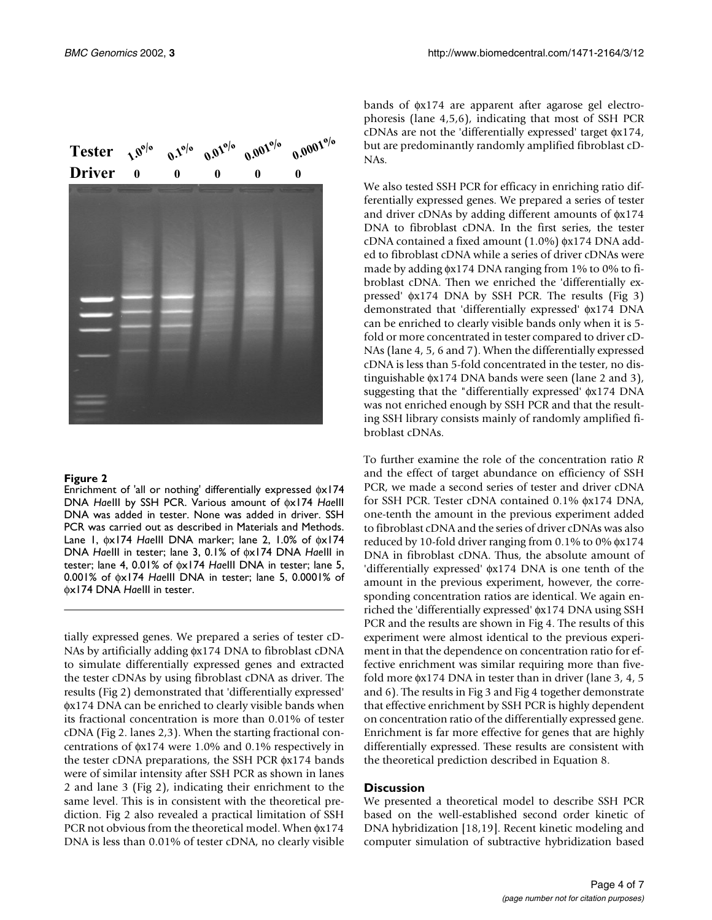

#### **Figure 2**

Enrichment of 'all or nothing' differentially expressed φx174 DNA *Hae*III by SSH PCR. Various amount of φx174 *Hae*III DNA was added in tester. None was added in driver. SSH PCR was carried out as described in Materials and Methods. Lane 1, φx174 *Hae*III DNA marker; lane 2, 1.0% of φx174 DNA *Hae*III in tester; lane 3, 0.1% of φx174 DNA *Hae*III in tester; lane 4, 0.01% of φx174 *Hae*III DNA in tester; lane 5, 0.001% of φx174 *Hae*III DNA in tester; lane 5, 0.0001% of φx174 DNA *Hae*III in tester.

tially expressed genes. We prepared a series of tester cD-NAs by artificially adding φx174 DNA to fibroblast cDNA to simulate differentially expressed genes and extracted the tester cDNAs by using fibroblast cDNA as driver. The results (Fig 2) demonstrated that 'differentially expressed' φx174 DNA can be enriched to clearly visible bands when its fractional concentration is more than 0.01% of tester cDNA (Fig 2. lanes 2,3). When the starting fractional concentrations of φx174 were 1.0% and 0.1% respectively in the tester cDNA preparations, the SSH PCR φx174 bands were of similar intensity after SSH PCR as shown in lanes 2 and lane 3 (Fig 2), indicating their enrichment to the same level. This is in consistent with the theoretical prediction. Fig 2 also revealed a practical limitation of SSH PCR not obvious from the theoretical model. When φx174 DNA is less than 0.01% of tester cDNA, no clearly visible

bands of φx174 are apparent after agarose gel electrophoresis (lane 4,5,6), indicating that most of SSH PCR cDNAs are not the 'differentially expressed' target φx174, but are predominantly randomly amplified fibroblast cD-NAs.

We also tested SSH PCR for efficacy in enriching ratio differentially expressed genes. We prepared a series of tester and driver cDNAs by adding different amounts of φx174 DNA to fibroblast cDNA. In the first series, the tester cDNA contained a fixed amount (1.0%) φx174 DNA added to fibroblast cDNA while a series of driver cDNAs were made by adding φx174 DNA ranging from 1% to 0% to fibroblast cDNA. Then we enriched the 'differentially expressed' φx174 DNA by SSH PCR. The results (Fig [3](#page-4-0)) demonstrated that 'differentially expressed' φx174 DNA can be enriched to clearly visible bands only when it is 5 fold or more concentrated in tester compared to driver cD-NAs (lane 4, 5, 6 and 7). When the differentially expressed cDNA is less than 5-fold concentrated in the tester, no distinguishable φx174 DNA bands were seen (lane 2 and 3), suggesting that the "differentially expressed' φx174 DNA was not enriched enough by SSH PCR and that the resulting SSH library consists mainly of randomly amplified fibroblast cDNAs.

To further examine the role of the concentration ratio *R* and the effect of target abundance on efficiency of SSH PCR, we made a second series of tester and driver cDNA for SSH PCR. Tester cDNA contained 0.1% φx174 DNA, one-tenth the amount in the previous experiment added to fibroblast cDNA and the series of driver cDNAs was also reduced by 10-fold driver ranging from 0.1% to 0% φx174 DNA in fibroblast cDNA. Thus, the absolute amount of 'differentially expressed' φx174 DNA is one tenth of the amount in the previous experiment, however, the corresponding concentration ratios are identical. We again enriched the 'differentially expressed' φx174 DNA using SSH PCR and the results are shown in Fig 4. The results of this experiment were almost identical to the previous experiment in that the dependence on concentration ratio for effective enrichment was similar requiring more than fivefold more φx174 DNA in tester than in driver (lane 3, 4, 5 and 6). The results in Fig [3](#page-4-0) and Fig 4 together demonstrate that effective enrichment by SSH PCR is highly dependent on concentration ratio of the differentially expressed gene. Enrichment is far more effective for genes that are highly differentially expressed. These results are consistent with the theoretical prediction described in Equation 8.

## **Discussion**

We presented a theoretical model to describe SSH PCR based on the well-established second order kinetic of DNA hybridization [18,19]. Recent kinetic modeling and computer simulation of subtractive hybridization based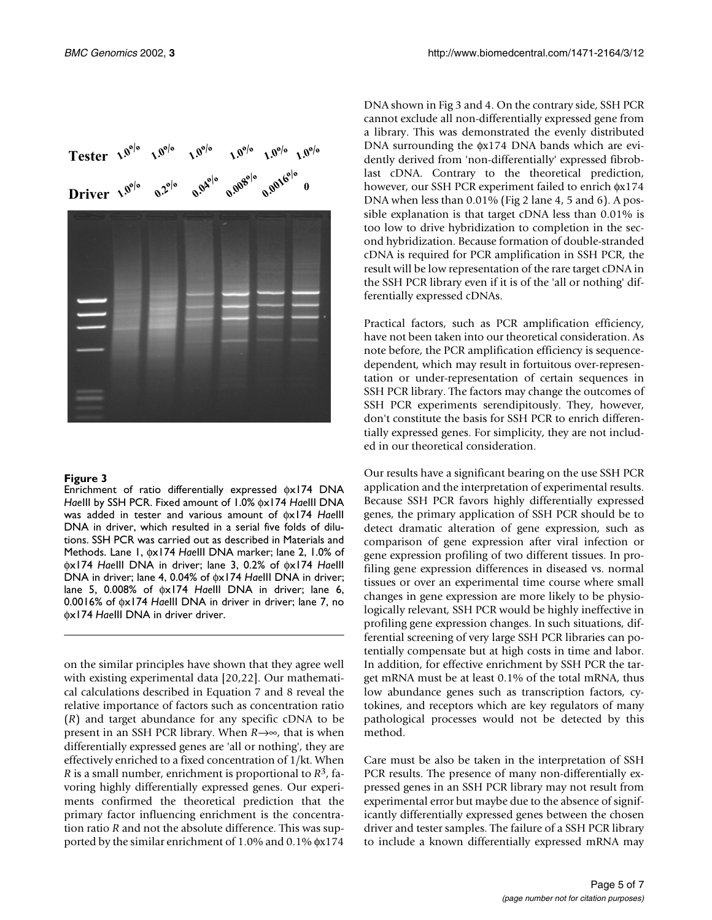

#### <span id="page-4-0"></span>**Figure 3**

Enrichment of ratio differentially expressed φx174 DNA *Hae*III by SSH PCR. Fixed amount of 1.0% φx174 *Hae*III DNA was added in tester and various amount of φx174 *Hae*III DNA in driver, which resulted in a serial five folds of dilutions. SSH PCR was carried out as described in Materials and Methods. Lane 1, φx174 *Hae*III DNA marker; lane 2, 1.0% of φx174 *Hae*III DNA in driver; lane 3, 0.2% of φx174 *Hae*III DNA in driver; lane 4, 0.04% of φx174 *Hae*III DNA in driver; lane 5, 0.008% of φx174 *Hae*III DNA in driver; lane 6, 0.0016% of φx174 *Hae*III DNA in driver in driver; lane 7, no φx174 *Hae*III DNA in driver driver.

on the similar principles have shown that they agree well with existing experimental data [20,22]. Our mathematical calculations described in Equation 7 and 8 reveal the relative importance of factors such as concentration ratio (*R*) and target abundance for any specific cDNA to be present in an SSH PCR library. When *R*→∞, that is when differentially expressed genes are 'all or nothing', they are effectively enriched to a fixed concentration of 1/kt. When *R* is a small number, enrichment is proportional to *R*3, favoring highly differentially expressed genes. Our experiments confirmed the theoretical prediction that the primary factor influencing enrichment is the concentration ratio *R* and not the absolute difference. This was supported by the similar enrichment of 1.0% and 0.1% φx174

DNA shown in Fig [3](#page-4-0) and 4. On the contrary side, SSH PCR cannot exclude all non-differentially expressed gene from a library. This was demonstrated the evenly distributed DNA surrounding the φx174 DNA bands which are evidently derived from 'non-differentially' expressed fibroblast cDNA. Contrary to the theoretical prediction, however, our SSH PCR experiment failed to enrich φx174 DNA when less than 0.01% (Fig 2 lane 4, 5 and 6). A possible explanation is that target cDNA less than 0.01% is too low to drive hybridization to completion in the second hybridization. Because formation of double-stranded cDNA is required for PCR amplification in SSH PCR, the result will be low representation of the rare target cDNA in the SSH PCR library even if it is of the 'all or nothing' differentially expressed cDNAs.

Practical factors, such as PCR amplification efficiency, have not been taken into our theoretical consideration. As note before, the PCR amplification efficiency is sequencedependent, which may result in fortuitous over-representation or under-representation of certain sequences in SSH PCR library. The factors may change the outcomes of SSH PCR experiments serendipitously. They, however, don't constitute the basis for SSH PCR to enrich differentially expressed genes. For simplicity, they are not included in our theoretical consideration.

Our results have a significant bearing on the use SSH PCR application and the interpretation of experimental results. Because SSH PCR favors highly differentially expressed genes, the primary application of SSH PCR should be to detect dramatic alteration of gene expression, such as comparison of gene expression after viral infection or gene expression profiling of two different tissues. In profiling gene expression differences in diseased vs. normal tissues or over an experimental time course where small changes in gene expression are more likely to be physiologically relevant, SSH PCR would be highly ineffective in profiling gene expression changes. In such situations, differential screening of very large SSH PCR libraries can potentially compensate but at high costs in time and labor. In addition, for effective enrichment by SSH PCR the target mRNA must be at least 0.1% of the total mRNA, thus low abundance genes such as transcription factors, cytokines, and receptors which are key regulators of many pathological processes would not be detected by this method.

Care must be also be taken in the interpretation of SSH PCR results. The presence of many non-differentially expressed genes in an SSH PCR library may not result from experimental error but maybe due to the absence of significantly differentially expressed genes between the chosen driver and tester samples. The failure of a SSH PCR library to include a known differentially expressed mRNA may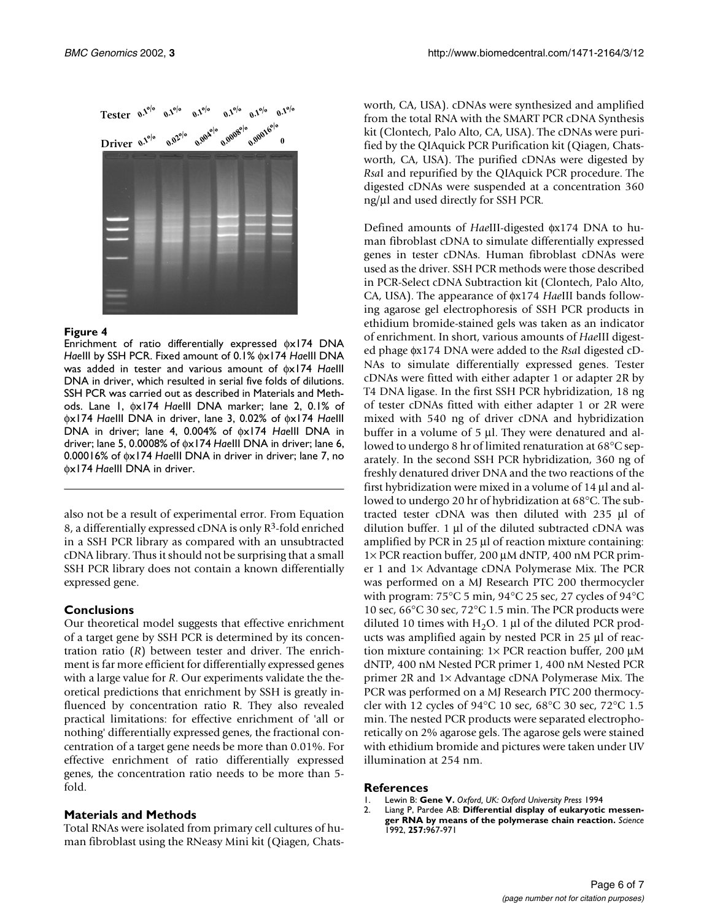

## **Figure 4**

Enrichment of ratio differentially expressed φx174 DNA *Hae*III by SSH PCR. Fixed amount of 0.1% φx174 *Hae*III DNA was added in tester and various amount of φx174 *Hae*III DNA in driver, which resulted in serial five folds of dilutions. SSH PCR was carried out as described in Materials and Methods. Lane 1, φx174 *Hae*III DNA marker; lane 2, 0.1% of φx174 *Hae*III DNA in driver, lane 3, 0.02% of φx174 *Hae*III DNA in driver; lane 4, 0.004% of φx174 *Hae*III DNA in driver; lane 5, 0.0008% of φx174 *Hae*III DNA in driver; lane 6, 0.00016% of φx174 *Hae*III DNA in driver in driver; lane 7, no φx174 *Hae*III DNA in driver.

also not be a result of experimental error. From Equation 8, a differentially expressed cDNA is only R<sup>3</sup>-fold enriched in a SSH PCR library as compared with an unsubtracted cDNA library. Thus it should not be surprising that a small SSH PCR library does not contain a known differentially expressed gene.

# **Conclusions**

Our theoretical model suggests that effective enrichment of a target gene by SSH PCR is determined by its concentration ratio (*R*) between tester and driver. The enrichment is far more efficient for differentially expressed genes with a large value for *R*. Our experiments validate the theoretical predictions that enrichment by SSH is greatly influenced by concentration ratio R. They also revealed practical limitations: for effective enrichment of 'all or nothing' differentially expressed genes, the fractional concentration of a target gene needs be more than 0.01%. For effective enrichment of ratio differentially expressed genes, the concentration ratio needs to be more than 5 fold.

## **Materials and Methods**

Total RNAs were isolated from primary cell cultures of human fibroblast using the RNeasy Mini kit (Qiagen, Chatsworth, CA, USA). cDNAs were synthesized and amplified from the total RNA with the SMART PCR cDNA Synthesis kit (Clontech, Palo Alto, CA, USA). The cDNAs were purified by the QIAquick PCR Purification kit (Qiagen, Chatsworth, CA, USA). The purified cDNAs were digested by *Rsa*I and repurified by the QIAquick PCR procedure. The digested cDNAs were suspended at a concentration 360 ng/µl and used directly for SSH PCR.

Defined amounts of *Hae*III-digested φx174 DNA to human fibroblast cDNA to simulate differentially expressed genes in tester cDNAs. Human fibroblast cDNAs were used as the driver. SSH PCR methods were those described in PCR-Select cDNA Subtraction kit (Clontech, Palo Alto, CA, USA). The appearance of φx174 *Hae*III bands following agarose gel electrophoresis of SSH PCR products in ethidium bromide-stained gels was taken as an indicator of enrichment. In short, various amounts of *Hae*III digested phage φx174 DNA were added to the *Rsa*I digested cD-NAs to simulate differentially expressed genes. Tester cDNAs were fitted with either adapter 1 or adapter 2R by T4 DNA ligase. In the first SSH PCR hybridization, 18 ng of tester cDNAs fitted with either adapter 1 or 2R were mixed with 540 ng of driver cDNA and hybridization buffer in a volume of 5 µl. They were denatured and allowed to undergo 8 hr of limited renaturation at 68°C separately. In the second SSH PCR hybridization, 360 ng of freshly denatured driver DNA and the two reactions of the first hybridization were mixed in a volume of 14 µl and allowed to undergo 20 hr of hybridization at 68°C. The subtracted tester cDNA was then diluted with 235 µl of dilution buffer. 1 µl of the diluted subtracted cDNA was amplified by PCR in 25 µl of reaction mixture containing: 1× PCR reaction buffer, 200 µM dNTP, 400 nM PCR primer 1 and 1× Advantage cDNA Polymerase Mix. The PCR was performed on a MJ Research PTC 200 thermocycler with program: 75°C 5 min, 94°C 25 sec, 27 cycles of 94°C 10 sec, 66°C 30 sec, 72°C 1.5 min. The PCR products were diluted 10 times with  $H_2O$ . 1 µl of the diluted PCR products was amplified again by nested PCR in 25 µl of reaction mixture containing: 1× PCR reaction buffer, 200 µM dNTP, 400 nM Nested PCR primer 1, 400 nM Nested PCR primer 2R and 1× Advantage cDNA Polymerase Mix. The PCR was performed on a MJ Research PTC 200 thermocycler with 12 cycles of 94°C 10 sec, 68°C 30 sec, 72°C 1.5 min. The nested PCR products were separated electrophoretically on 2% agarose gels. The agarose gels were stained with ethidium bromide and pictures were taken under UV illumination at 254 nm.

## **References**

- 1. Lewin B: **Gene V.** *Oxford, UK: Oxford University Press* 1994
- Liang P, Pardee AB: Differential display of eukaryotic messen**ger RNA by means of the polymerase chain reaction.** *Science* 1992, **257:**967-971